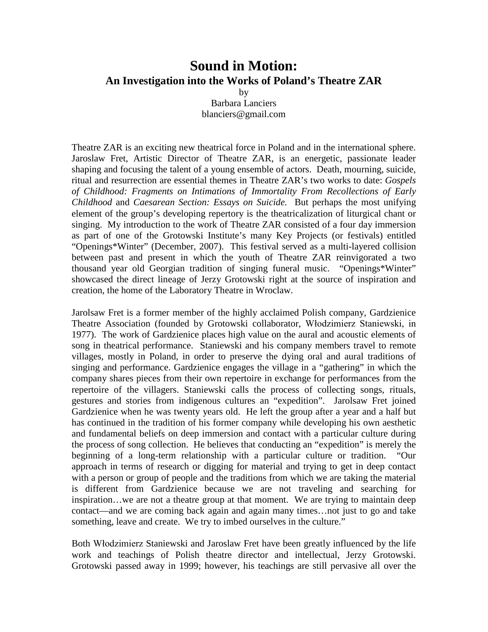## **Sound in Motion: An Investigation into the Works of Poland's Theatre ZAR**

by Barbara Lanciers blanciers@gmail.com

Theatre ZAR is an exciting new theatrical force in Poland and in the international sphere. Jaroslaw Fret, Artistic Director of Theatre ZAR, is an energetic, passionate leader shaping and focusing the talent of a young ensemble of actors. Death, mourning, suicide, ritual and resurrection are essential themes in Theatre ZAR's two works to date: *Gospels of Childhood: Fragments on Intimations of Immortality From Recollections of Early Childhood* and *Caesarean Section: Essays on Suicide.* But perhaps the most unifying element of the group's developing repertory is the theatricalization of liturgical chant or singing. My introduction to the work of Theatre ZAR consisted of a four day immersion as part of one of the Grotowski Institute's many Key Projects (or festivals) entitled "Openings\*Winter" (December, 2007). This festival served as a multi-layered collision between past and present in which the youth of Theatre ZAR reinvigorated a two thousand year old Georgian tradition of singing funeral music. "Openings\*Winter" showcased the direct lineage of Jerzy Grotowski right at the source of inspiration and creation, the home of the Laboratory Theatre in Wroclaw.

Jarolsaw Fret is a former member of the highly acclaimed Polish company, Gardzienice Theatre Association (founded by Grotowski collaborator, Włodzimierz Staniewski, in 1977). The work of Gardzienice places high value on the aural and acoustic elements of song in theatrical performance. Staniewski and his company members travel to remote villages, mostly in Poland, in order to preserve the dying oral and aural traditions of singing and performance. Gardzienice engages the village in a "gathering" in which the company shares pieces from their own repertoire in exchange for performances from the repertoire of the villagers. Staniewski calls the process of collecting songs, rituals, gestures and stories from indigenous cultures an "expedition". Jarolsaw Fret joined Gardzienice when he was twenty years old. He left the group after a year and a half but has continued in the tradition of his former company while developing his own aesthetic and fundamental beliefs on deep immersion and contact with a particular culture during the process of song collection. He believes that conducting an "expedition" is merely the beginning of a long-term relationship with a particular culture or tradition. "Our approach in terms of research or digging for material and trying to get in deep contact with a person or group of people and the traditions from which we are taking the material is different from Gardzienice because we are not traveling and searching for inspiration…we are not a theatre group at that moment. We are trying to maintain deep contact—and we are coming back again and again many times…not just to go and take something, leave and create. We try to imbed ourselves in the culture."

Both Włodzimierz Staniewski and Jaroslaw Fret have been greatly influenced by the life work and teachings of Polish theatre director and intellectual, Jerzy Grotowski. Grotowski passed away in 1999; however, his teachings are still pervasive all over the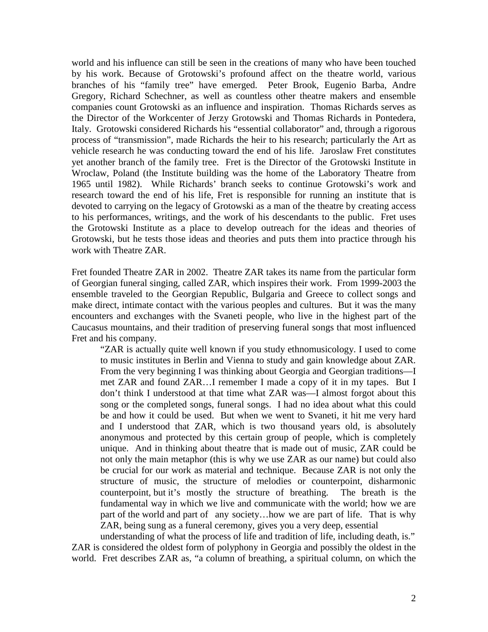world and his influence can still be seen in the creations of many who have been touched by his work. Because of Grotowski's profound affect on the theatre world, various branches of his "family tree" have emerged. Peter Brook, Eugenio Barba, Andre Gregory, Richard Schechner, as well as countless other theatre makers and ensemble companies count Grotowski as an influence and inspiration. Thomas Richards serves as the Director of the Workcenter of Jerzy Grotowski and Thomas Richards in Pontedera, Italy. Grotowski considered Richards his "essential collaborator" and, through a rigorous process of "transmission", made Richards the heir to his research; particularly the Art as vehicle research he was conducting toward the end of his life. Jaroslaw Fret constitutes yet another branch of the family tree. Fret is the Director of the Grotowski Institute in Wroclaw, Poland (the Institute building was the home of the Laboratory Theatre from 1965 until 1982). While Richards' branch seeks to continue Grotowski's work and research toward the end of his life, Fret is responsible for running an institute that is devoted to carrying on the legacy of Grotowski as a man of the theatre by creating access to his performances, writings, and the work of his descendants to the public. Fret uses the Grotowski Institute as a place to develop outreach for the ideas and theories of Grotowski, but he tests those ideas and theories and puts them into practice through his work with Theatre ZAR.

Fret founded Theatre ZAR in 2002. Theatre ZAR takes its name from the particular form of Georgian funeral singing, called ZAR, which inspires their work. From 1999-2003 the ensemble traveled to the Georgian Republic, Bulgaria and Greece to collect songs and make direct, intimate contact with the various peoples and cultures. But it was the many encounters and exchanges with the Svaneti people, who live in the highest part of the Caucasus mountains, and their tradition of preserving funeral songs that most influenced Fret and his company.

"ZAR is actually quite well known if you study ethnomusicology. I used to come to music institutes in Berlin and Vienna to study and gain knowledge about ZAR. From the very beginning I was thinking about Georgia and Georgian traditions—I met ZAR and found ZAR…I remember I made a copy of it in my tapes. But I don't think I understood at that time what ZAR was—I almost forgot about this song or the completed songs, funeral songs. I had no idea about what this could be and how it could be used. But when we went to Svaneti, it hit me very hard and I understood that ZAR, which is two thousand years old, is absolutely anonymous and protected by this certain group of people, which is completely unique. And in thinking about theatre that is made out of music, ZAR could be not only the main metaphor (this is why we use ZAR as our name) but could also be crucial for our work as material and technique. Because ZAR is not only the structure of music, the structure of melodies or counterpoint, disharmonic counterpoint, but it's mostly the structure of breathing. The breath is the fundamental way in which we live and communicate with the world; how we are part of the world and part of any society…how we are part of life. That is why ZAR, being sung as a funeral ceremony, gives you a very deep, essential

understanding of what the process of life and tradition of life, including death, is." ZAR is considered the oldest form of polyphony in Georgia and possibly the oldest in the world. Fret describes ZAR as, "a column of breathing, a spiritual column, on which the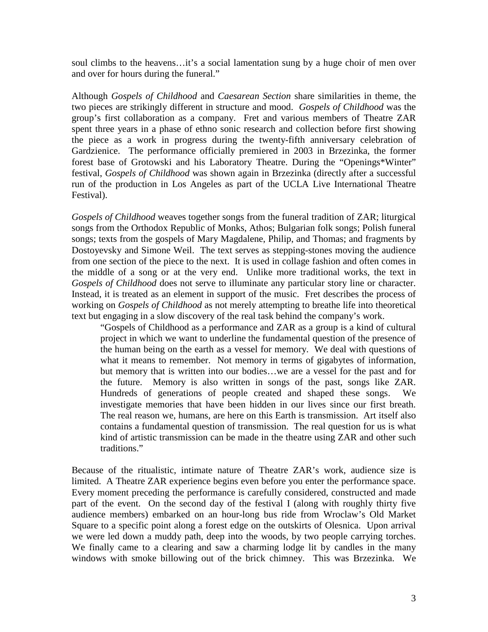soul climbs to the heavens…it's a social lamentation sung by a huge choir of men over and over for hours during the funeral."

Although *Gospels of Childhood* and *Caesarean Section* share similarities in theme, the two pieces are strikingly different in structure and mood. *Gospels of Childhood* was the group's first collaboration as a company. Fret and various members of Theatre ZAR spent three years in a phase of ethno sonic research and collection before first showing the piece as a work in progress during the twenty-fifth anniversary celebration of Gardzienice. The performance officially premiered in 2003 in Brzezinka, the former forest base of Grotowski and his Laboratory Theatre. During the "Openings\*Winter" festival, *Gospels of Childhood* was shown again in Brzezinka (directly after a successful run of the production in Los Angeles as part of the UCLA Live International Theatre Festival).

*Gospels of Childhood* weaves together songs from the funeral tradition of ZAR; liturgical songs from the Orthodox Republic of Monks, Athos; Bulgarian folk songs; Polish funeral songs; texts from the gospels of Mary Magdalene, Philip, and Thomas; and fragments by Dostoyevsky and Simone Weil. The text serves as stepping-stones moving the audience from one section of the piece to the next. It is used in collage fashion and often comes in the middle of a song or at the very end. Unlike more traditional works, the text in *Gospels of Childhood* does not serve to illuminate any particular story line or character. Instead, it is treated as an element in support of the music. Fret describes the process of working on *Gospels of Childhood* as not merely attempting to breathe life into theoretical text but engaging in a slow discovery of the real task behind the company's work.

"Gospels of Childhood as a performance and ZAR as a group is a kind of cultural project in which we want to underline the fundamental question of the presence of the human being on the earth as a vessel for memory. We deal with questions of what it means to remember. Not memory in terms of gigabytes of information, but memory that is written into our bodies…we are a vessel for the past and for the future. Memory is also written in songs of the past, songs like ZAR. Hundreds of generations of people created and shaped these songs. We investigate memories that have been hidden in our lives since our first breath. The real reason we, humans, are here on this Earth is transmission. Art itself also contains a fundamental question of transmission. The real question for us is what kind of artistic transmission can be made in the theatre using ZAR and other such traditions."

Because of the ritualistic, intimate nature of Theatre ZAR's work, audience size is limited. A Theatre ZAR experience begins even before you enter the performance space. Every moment preceding the performance is carefully considered, constructed and made part of the event. On the second day of the festival I (along with roughly thirty five audience members) embarked on an hour-long bus ride from Wroclaw's Old Market Square to a specific point along a forest edge on the outskirts of Olesnica. Upon arrival we were led down a muddy path, deep into the woods, by two people carrying torches. We finally came to a clearing and saw a charming lodge lit by candles in the many windows with smoke billowing out of the brick chimney. This was Brzezinka. We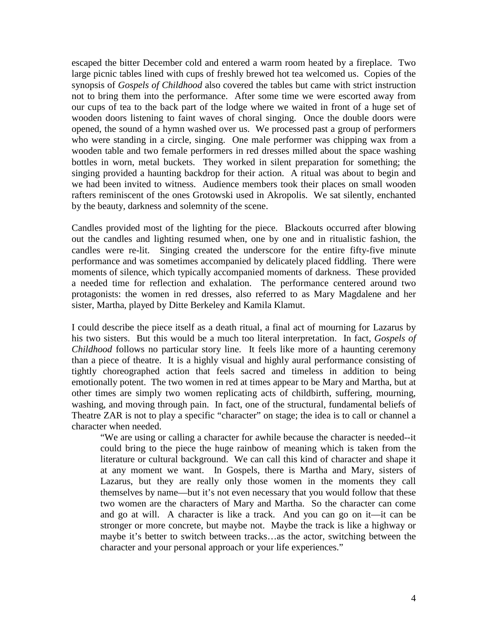escaped the bitter December cold and entered a warm room heated by a fireplace. Two large picnic tables lined with cups of freshly brewed hot tea welcomed us. Copies of the synopsis of *Gospels of Childhood* also covered the tables but came with strict instruction not to bring them into the performance. After some time we were escorted away from our cups of tea to the back part of the lodge where we waited in front of a huge set of wooden doors listening to faint waves of choral singing. Once the double doors were opened, the sound of a hymn washed over us. We processed past a group of performers who were standing in a circle, singing. One male performer was chipping wax from a wooden table and two female performers in red dresses milled about the space washing bottles in worn, metal buckets. They worked in silent preparation for something; the singing provided a haunting backdrop for their action. A ritual was about to begin and we had been invited to witness. Audience members took their places on small wooden rafters reminiscent of the ones Grotowski used in Akropolis. We sat silently, enchanted by the beauty, darkness and solemnity of the scene.

Candles provided most of the lighting for the piece. Blackouts occurred after blowing out the candles and lighting resumed when, one by one and in ritualistic fashion, the candles were re-lit. Singing created the underscore for the entire fifty-five minute performance and was sometimes accompanied by delicately placed fiddling. There were moments of silence, which typically accompanied moments of darkness. These provided a needed time for reflection and exhalation. The performance centered around two protagonists: the women in red dresses, also referred to as Mary Magdalene and her sister, Martha, played by Ditte Berkeley and Kamila Klamut.

I could describe the piece itself as a death ritual, a final act of mourning for Lazarus by his two sisters. But this would be a much too literal interpretation. In fact, *Gospels of Childhood* follows no particular story line. It feels like more of a haunting ceremony than a piece of theatre. It is a highly visual and highly aural performance consisting of tightly choreographed action that feels sacred and timeless in addition to being emotionally potent. The two women in red at times appear to be Mary and Martha, but at other times are simply two women replicating acts of childbirth, suffering, mourning, washing, and moving through pain. In fact, one of the structural, fundamental beliefs of Theatre ZAR is not to play a specific "character" on stage; the idea is to call or channel a character when needed.

"We are using or calling a character for awhile because the character is needed--it could bring to the piece the huge rainbow of meaning which is taken from the literature or cultural background. We can call this kind of character and shape it at any moment we want. In Gospels, there is Martha and Mary, sisters of Lazarus, but they are really only those women in the moments they call themselves by name—but it's not even necessary that you would follow that these two women are the characters of Mary and Martha. So the character can come and go at will. A character is like a track. And you can go on it—it can be stronger or more concrete, but maybe not. Maybe the track is like a highway or maybe it's better to switch between tracks…as the actor, switching between the character and your personal approach or your life experiences."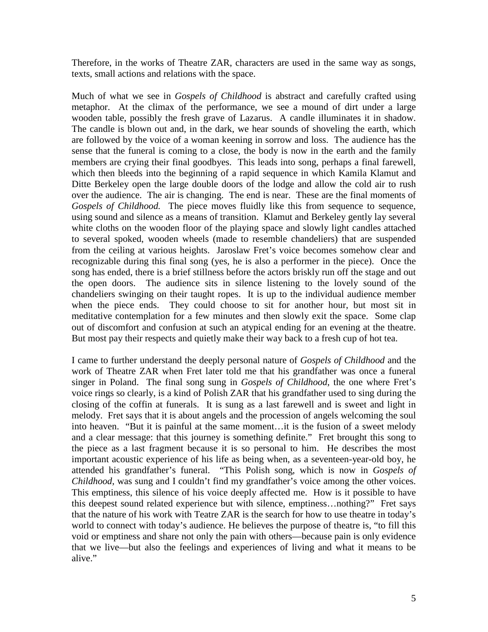Therefore, in the works of Theatre ZAR, characters are used in the same way as songs, texts, small actions and relations with the space.

Much of what we see in *Gospels of Childhood* is abstract and carefully crafted using metaphor. At the climax of the performance, we see a mound of dirt under a large wooden table, possibly the fresh grave of Lazarus. A candle illuminates it in shadow. The candle is blown out and, in the dark, we hear sounds of shoveling the earth, which are followed by the voice of a woman keening in sorrow and loss. The audience has the sense that the funeral is coming to a close, the body is now in the earth and the family members are crying their final goodbyes. This leads into song, perhaps a final farewell, which then bleeds into the beginning of a rapid sequence in which Kamila Klamut and Ditte Berkeley open the large double doors of the lodge and allow the cold air to rush over the audience. The air is changing. The end is near. These are the final moments of *Gospels of Childhood.* The piece moves fluidly like this from sequence to sequence, using sound and silence as a means of transition. Klamut and Berkeley gently lay several white cloths on the wooden floor of the playing space and slowly light candles attached to several spoked, wooden wheels (made to resemble chandeliers) that are suspended from the ceiling at various heights. Jaroslaw Fret's voice becomes somehow clear and recognizable during this final song (yes, he is also a performer in the piece). Once the song has ended, there is a brief stillness before the actors briskly run off the stage and out the open doors. The audience sits in silence listening to the lovely sound of the chandeliers swinging on their taught ropes. It is up to the individual audience member when the piece ends. They could choose to sit for another hour, but most sit in meditative contemplation for a few minutes and then slowly exit the space. Some clap out of discomfort and confusion at such an atypical ending for an evening at the theatre. But most pay their respects and quietly make their way back to a fresh cup of hot tea.

I came to further understand the deeply personal nature of *Gospels of Childhood* and the work of Theatre ZAR when Fret later told me that his grandfather was once a funeral singer in Poland. The final song sung in *Gospels of Childhood*, the one where Fret's voice rings so clearly, is a kind of Polish ZAR that his grandfather used to sing during the closing of the coffin at funerals. It is sung as a last farewell and is sweet and light in melody. Fret says that it is about angels and the procession of angels welcoming the soul into heaven. "But it is painful at the same moment…it is the fusion of a sweet melody and a clear message: that this journey is something definite." Fret brought this song to the piece as a last fragment because it is so personal to him. He describes the most important acoustic experience of his life as being when, as a seventeen-year-old boy, he attended his grandfather's funeral. "This Polish song, which is now in *Gospels of Childhood*, was sung and I couldn't find my grandfather's voice among the other voices. This emptiness, this silence of his voice deeply affected me. How is it possible to have this deepest sound related experience but with silence, emptiness…nothing?" Fret says that the nature of his work with Teatre ZAR is the search for how to use theatre in today's world to connect with today's audience. He believes the purpose of theatre is, "to fill this void or emptiness and share not only the pain with others—because pain is only evidence that we live—but also the feelings and experiences of living and what it means to be alive."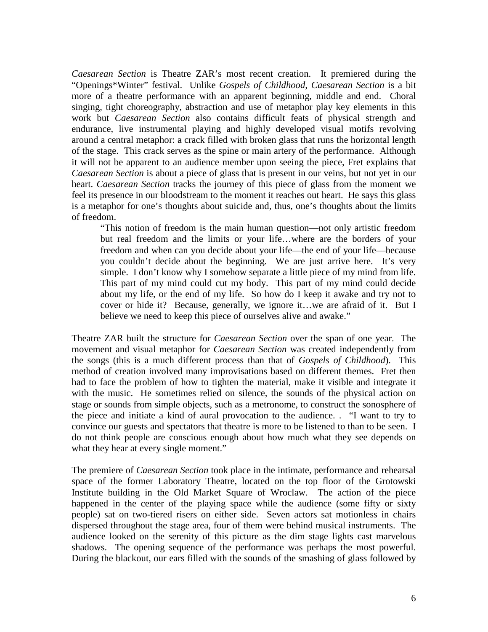*Caesarean Section* is Theatre ZAR's most recent creation. It premiered during the "Openings\*Winter" festival. Unlike *Gospels of Childhood, Caesarean Section* is a bit more of a theatre performance with an apparent beginning, middle and end. Choral singing, tight choreography, abstraction and use of metaphor play key elements in this work but *Caesarean Section* also contains difficult feats of physical strength and endurance, live instrumental playing and highly developed visual motifs revolving around a central metaphor: a crack filled with broken glass that runs the horizontal length of the stage. This crack serves as the spine or main artery of the performance. Although it will not be apparent to an audience member upon seeing the piece, Fret explains that *Caesarean Section* is about a piece of glass that is present in our veins, but not yet in our heart. *Caesarean Section* tracks the journey of this piece of glass from the moment we feel its presence in our bloodstream to the moment it reaches out heart. He says this glass is a metaphor for one's thoughts about suicide and, thus, one's thoughts about the limits of freedom.

"This notion of freedom is the main human question—not only artistic freedom but real freedom and the limits or your life…where are the borders of your freedom and when can you decide about your life—the end of your life—because you couldn't decide about the beginning. We are just arrive here. It's very simple. I don't know why I somehow separate a little piece of my mind from life. This part of my mind could cut my body. This part of my mind could decide about my life, or the end of my life. So how do I keep it awake and try not to cover or hide it? Because, generally, we ignore it…we are afraid of it. But I believe we need to keep this piece of ourselves alive and awake."

Theatre ZAR built the structure for *Caesarean Section* over the span of one year. The movement and visual metaphor for *Caesarean Section* was created independently from the songs (this is a much different process than that of *Gospels of Childhood*). This method of creation involved many improvisations based on different themes. Fret then had to face the problem of how to tighten the material, make it visible and integrate it with the music. He sometimes relied on silence, the sounds of the physical action on stage or sounds from simple objects, such as a metronome, to construct the sonosphere of the piece and initiate a kind of aural provocation to the audience. . "I want to try to convince our guests and spectators that theatre is more to be listened to than to be seen. I do not think people are conscious enough about how much what they see depends on what they hear at every single moment."

The premiere of *Caesarean Section* took place in the intimate, performance and rehearsal space of the former Laboratory Theatre, located on the top floor of the Grotowski Institute building in the Old Market Square of Wroclaw. The action of the piece happened in the center of the playing space while the audience (some fifty or sixty people) sat on two-tiered risers on either side. Seven actors sat motionless in chairs dispersed throughout the stage area, four of them were behind musical instruments. The audience looked on the serenity of this picture as the dim stage lights cast marvelous shadows. The opening sequence of the performance was perhaps the most powerful. During the blackout, our ears filled with the sounds of the smashing of glass followed by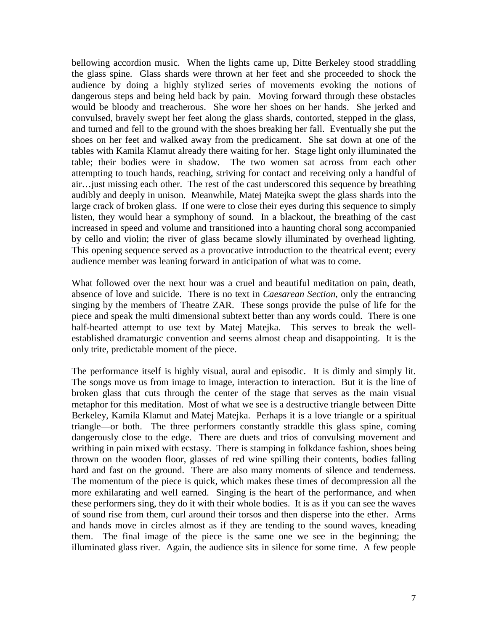bellowing accordion music. When the lights came up, Ditte Berkeley stood straddling the glass spine. Glass shards were thrown at her feet and she proceeded to shock the audience by doing a highly stylized series of movements evoking the notions of dangerous steps and being held back by pain. Moving forward through these obstacles would be bloody and treacherous. She wore her shoes on her hands. She jerked and convulsed, bravely swept her feet along the glass shards, contorted, stepped in the glass, and turned and fell to the ground with the shoes breaking her fall. Eventually she put the shoes on her feet and walked away from the predicament. She sat down at one of the tables with Kamila Klamut already there waiting for her. Stage light only illuminated the table; their bodies were in shadow. The two women sat across from each other attempting to touch hands, reaching, striving for contact and receiving only a handful of air…just missing each other. The rest of the cast underscored this sequence by breathing audibly and deeply in unison. Meanwhile, Matej Matejka swept the glass shards into the large crack of broken glass. If one were to close their eyes during this sequence to simply listen, they would hear a symphony of sound. In a blackout, the breathing of the cast increased in speed and volume and transitioned into a haunting choral song accompanied by cello and violin; the river of glass became slowly illuminated by overhead lighting. This opening sequence served as a provocative introduction to the theatrical event; every audience member was leaning forward in anticipation of what was to come.

What followed over the next hour was a cruel and beautiful meditation on pain, death, absence of love and suicide. There is no text in *Caesarean Section*, only the entrancing singing by the members of Theatre ZAR. These songs provide the pulse of life for the piece and speak the multi dimensional subtext better than any words could. There is one half-hearted attempt to use text by Matej Matejka. This serves to break the wellestablished dramaturgic convention and seems almost cheap and disappointing. It is the only trite, predictable moment of the piece.

The performance itself is highly visual, aural and episodic. It is dimly and simply lit. The songs move us from image to image, interaction to interaction. But it is the line of broken glass that cuts through the center of the stage that serves as the main visual metaphor for this meditation. Most of what we see is a destructive triangle between Ditte Berkeley, Kamila Klamut and Matej Matejka. Perhaps it is a love triangle or a spiritual triangle—or both. The three performers constantly straddle this glass spine, coming dangerously close to the edge. There are duets and trios of convulsing movement and writhing in pain mixed with ecstasy. There is stamping in folkdance fashion, shoes being thrown on the wooden floor, glasses of red wine spilling their contents, bodies falling hard and fast on the ground. There are also many moments of silence and tenderness. The momentum of the piece is quick, which makes these times of decompression all the more exhilarating and well earned. Singing is the heart of the performance, and when these performers sing, they do it with their whole bodies. It is as if you can see the waves of sound rise from them, curl around their torsos and then disperse into the ether. Arms and hands move in circles almost as if they are tending to the sound waves, kneading them. The final image of the piece is the same one we see in the beginning; the illuminated glass river. Again, the audience sits in silence for some time. A few people